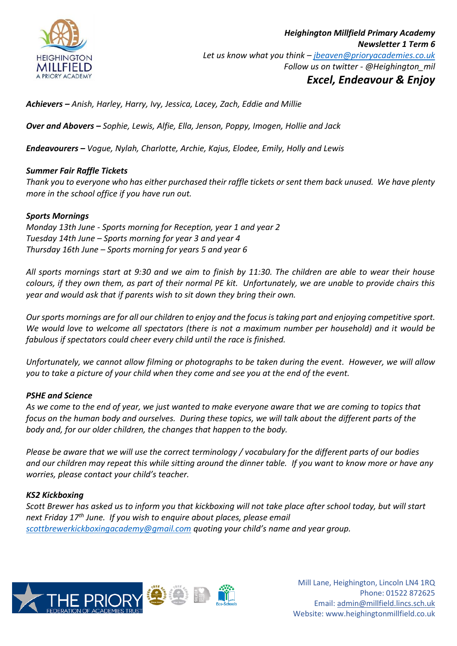

# *Excel, Endeavour & Enjoy*

*Achievers – Anish, Harley, Harry, Ivy, Jessica, Lacey, Zach, Eddie and Millie*

*Over and Abovers – Sophie, Lewis, Alfie, Ella, Jenson, Poppy, Imogen, Hollie and Jack*

*Endeavourers – Vogue, Nylah, Charlotte, Archie, Kajus, Elodee, Emily, Holly and Lewis*

## *Summer Fair Raffle Tickets*

*Thank you to everyone who has either purchased their raffle tickets or sent them back unused. We have plenty more in the school office if you have run out.* 

## *Sports Mornings*

*Monday 13th June - Sports morning for Reception, year 1 and year 2 Tuesday 14th June – Sports morning for year 3 and year 4 Thursday 16th June – Sports morning for years 5 and year 6*

*All sports mornings start at 9:30 and we aim to finish by 11:30. The children are able to wear their house colours, if they own them, as part of their normal PE kit. Unfortunately, we are unable to provide chairs this year and would ask that if parents wish to sit down they bring their own.* 

*Our sports mornings are for all our children to enjoy and the focus is taking part and enjoying competitive sport. We would love to welcome all spectators (there is not a maximum number per household) and it would be fabulous if spectators could cheer every child until the race is finished.* 

*Unfortunately, we cannot allow filming or photographs to be taken during the event. However, we will allow you to take a picture of your child when they come and see you at the end of the event.*

# *PSHE and Science*

*As we come to the end of year, we just wanted to make everyone aware that we are coming to topics that focus on the human body and ourselves. During these topics, we will talk about the different parts of the body and, for our older children, the changes that happen to the body.* 

*Please be aware that we will use the correct terminology / vocabulary for the different parts of our bodies and our children may repeat this while sitting around the dinner table. If you want to know more or have any worries, please contact your child's teacher.*

## *KS2 Kickboxing*

*Scott Brewer has asked us to inform you that kickboxing will not take place after school today, but will start next Friday 17th June. If you wish to enquire about places, please email [scottbrewerkickboxingacademy@gmail.com](mailto:scottbrewerkickboxingacademy@gmail.com) quoting your child's name and year group.*